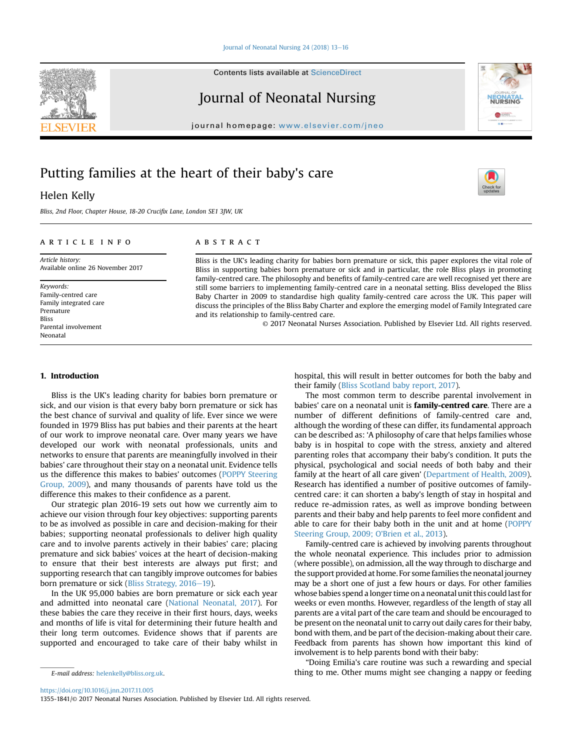#### Journal of Neonatal Nursing  $24$  (2018) 13-[16](https://doi.org/10.1016/j.jnn.2017.11.005)

Contents lists available at ScienceDirect

# Journal of Neonatal Nursing

journal homepage: <www.elsevier.com/jneo>

# Putting families at the heart of their baby's care

# Helen Kelly

Bliss, 2nd Floor, Chapter House, 18-20 Crucifix Lane, London SE1 3JW, UK

#### article info

Article history: Available online 26 November 2017

Keywords: Family-centred care Family integrated care Premature Bliss Parental involvement Neonatal

#### **ABSTRACT**

Bliss is the UK's leading charity for babies born premature or sick, this paper explores the vital role of Bliss in supporting babies born premature or sick and in particular, the role Bliss plays in promoting family-centred care. The philosophy and benefits of family-centred care are well recognised yet there are still some barriers to implementing family-centred care in a neonatal setting. Bliss developed the Bliss Baby Charter in 2009 to standardise high quality family-centred care across the UK. This paper will discuss the principles of the Bliss Baby Charter and explore the emerging model of Family Integrated care and its relationship to family-centred care.

© 2017 Neonatal Nurses Association. Published by Elsevier Ltd. All rights reserved.

### 1. Introduction

Bliss is the UK's leading charity for babies born premature or sick, and our vision is that every baby born premature or sick has the best chance of survival and quality of life. Ever since we were founded in 1979 Bliss has put babies and their parents at the heart of our work to improve neonatal care. Over many years we have developed our work with neonatal professionals, units and networks to ensure that parents are meaningfully involved in their babies' care throughout their stay on a neonatal unit. Evidence tells us the difference this makes to babies' outcomes ([POPPY Steering](#page-3-0) [Group, 2009\)](#page-3-0), and many thousands of parents have told us the difference this makes to their confidence as a parent.

Our strategic plan 2016-19 sets out how we currently aim to achieve our vision through four key objectives: supporting parents to be as involved as possible in care and decision-making for their babies; supporting neonatal professionals to deliver high quality care and to involve parents actively in their babies' care; placing premature and sick babies' voices at the heart of decision-making to ensure that their best interests are always put first; and supporting research that can tangibly improve outcomes for babies born premature or sick [\(Bliss Strategy, 2016](#page-3-0)-[19\)](#page-3-0).

In the UK 95,000 babies are born premature or sick each year and admitted into neonatal care [\(National Neonatal, 2017](#page-3-0)). For these babies the care they receive in their first hours, days, weeks and months of life is vital for determining their future health and their long term outcomes. Evidence shows that if parents are supported and encouraged to take care of their baby whilst in hospital, this will result in better outcomes for both the baby and their family [\(Bliss Scotland baby report, 2017](#page-3-0)).

The most common term to describe parental involvement in babies' care on a neonatal unit is **family-centred care**. There are a number of different definitions of family-centred care and, although the wording of these can differ, its fundamental approach can be described as: 'A philosophy of care that helps families whose baby is in hospital to cope with the stress, anxiety and altered parenting roles that accompany their baby's condition. It puts the physical, psychological and social needs of both baby and their family at the heart of all care given' [\(Department of Health, 2009\)](#page-3-0). Research has identified a number of positive outcomes of familycentred care: it can shorten a baby's length of stay in hospital and reduce re-admission rates, as well as improve bonding between parents and their baby and help parents to feel more confident and able to care for their baby both in the unit and at home ([POPPY](#page-3-0) [Steering Group, 2009; O'Brien et al., 2013\)](#page-3-0).

Family-centred care is achieved by involving parents throughout the whole neonatal experience. This includes prior to admission (where possible), on admission, all the way through to discharge and the support provided at home. For some families the neonatal journey may be a short one of just a few hours or days. For other families whose babies spend a longer time on a neonatal unit this could last for weeks or even months. However, regardless of the length of stay all parents are a vital part of the care team and should be encouraged to be present on the neonatal unit to carry out daily cares for their baby, bond with them, and be part of the decision-making about their care. Feedback from parents has shown how important this kind of involvement is to help parents bond with their baby:

"Doing Emilia's care routine was such a rewarding and special E-mail address: [helenkelly@bliss.org.uk.](mailto:helenkelly@bliss.org.uk) thing to me. Other mums might see changing a nappy or feeding







<sup>1355-1841/</sup>© 2017 Neonatal Nurses Association. Published by Elsevier Ltd. All rights reserved.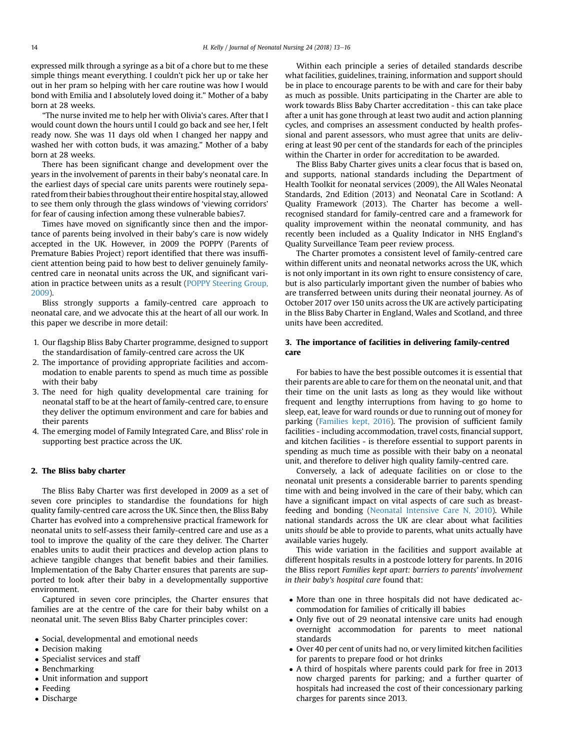expressed milk through a syringe as a bit of a chore but to me these simple things meant everything. I couldn't pick her up or take her out in her pram so helping with her care routine was how I would bond with Emilia and I absolutely loved doing it." Mother of a baby born at 28 weeks.

"The nurse invited me to help her with Olivia's cares. After that I would count down the hours until I could go back and see her, I felt ready now. She was 11 days old when I changed her nappy and washed her with cotton buds, it was amazing." Mother of a baby born at 28 weeks.

There has been significant change and development over the years in the involvement of parents in their baby's neonatal care. In the earliest days of special care units parents were routinely separated from their babies throughout their entire hospital stay, allowed to see them only through the glass windows of 'viewing corridors' for fear of causing infection among these vulnerable babies7.

Times have moved on significantly since then and the importance of parents being involved in their baby's care is now widely accepted in the UK. However, in 2009 the POPPY (Parents of Premature Babies Project) report identified that there was insufficient attention being paid to how best to deliver genuinely familycentred care in neonatal units across the UK, and significant variation in practice between units as a result ([POPPY Steering Group,](#page-3-0) [2009](#page-3-0)).

Bliss strongly supports a family-centred care approach to neonatal care, and we advocate this at the heart of all our work. In this paper we describe in more detail:

- 1. Our flagship Bliss Baby Charter programme, designed to support the standardisation of family-centred care across the UK
- 2. The importance of providing appropriate facilities and accommodation to enable parents to spend as much time as possible with their baby
- 3. The need for high quality developmental care training for neonatal staff to be at the heart of family-centred care, to ensure they deliver the optimum environment and care for babies and their parents
- 4. The emerging model of Family Integrated Care, and Bliss' role in supporting best practice across the UK.

### 2. The Bliss baby charter

The Bliss Baby Charter was first developed in 2009 as a set of seven core principles to standardise the foundations for high quality family-centred care across the UK. Since then, the Bliss Baby Charter has evolved into a comprehensive practical framework for neonatal units to self-assess their family-centred care and use as a tool to improve the quality of the care they deliver. The Charter enables units to audit their practices and develop action plans to achieve tangible changes that benefit babies and their families. Implementation of the Baby Charter ensures that parents are supported to look after their baby in a developmentally supportive environment.

Captured in seven core principles, the Charter ensures that families are at the centre of the care for their baby whilst on a neonatal unit. The seven Bliss Baby Charter principles cover:

- Social, developmental and emotional needs
- Decision making
- Specialist services and staff
- Benchmarking
- Unit information and support
- Feeding
- Discharge

Within each principle a series of detailed standards describe what facilities, guidelines, training, information and support should be in place to encourage parents to be with and care for their baby as much as possible. Units participating in the Charter are able to work towards Bliss Baby Charter accreditation - this can take place after a unit has gone through at least two audit and action planning cycles, and comprises an assessment conducted by health professional and parent assessors, who must agree that units are delivering at least 90 per cent of the standards for each of the principles within the Charter in order for accreditation to be awarded.

The Bliss Baby Charter gives units a clear focus that is based on, and supports, national standards including the Department of Health Toolkit for neonatal services (2009), the All Wales Neonatal Standards, 2nd Edition (2013) and Neonatal Care in Scotland: A Quality Framework (2013). The Charter has become a wellrecognised standard for family-centred care and a framework for quality improvement within the neonatal community, and has recently been included as a Quality Indicator in NHS England's Quality Surveillance Team peer review process.

The Charter promotes a consistent level of family-centred care within different units and neonatal networks across the UK, which is not only important in its own right to ensure consistency of care, but is also particularly important given the number of babies who are transferred between units during their neonatal journey. As of October 2017 over 150 units across the UK are actively participating in the Bliss Baby Charter in England, Wales and Scotland, and three units have been accredited.

# 3. The importance of facilities in delivering family-centred care

For babies to have the best possible outcomes it is essential that their parents are able to care for them on the neonatal unit, and that their time on the unit lasts as long as they would like without frequent and lengthy interruptions from having to go home to sleep, eat, leave for ward rounds or due to running out of money for parking ([Families kept, 2016](#page-3-0)). The provision of sufficient family facilities - including accommodation, travel costs, financial support, and kitchen facilities - is therefore essential to support parents in spending as much time as possible with their baby on a neonatal unit, and therefore to deliver high quality family-centred care.

Conversely, a lack of adequate facilities on or close to the neonatal unit presents a considerable barrier to parents spending time with and being involved in the care of their baby, which can have a significant impact on vital aspects of care such as breastfeeding and bonding ([Neonatal Intensive Care N, 2010\)](#page-3-0). While national standards across the UK are clear about what facilities units should be able to provide to parents, what units actually have available varies hugely.

This wide variation in the facilities and support available at different hospitals results in a postcode lottery for parents. In 2016 the Bliss report Families kept apart: barriers to parents' involvement in their baby's hospital care found that:

- More than one in three hospitals did not have dedicated accommodation for families of critically ill babies
- Only five out of 29 neonatal intensive care units had enough overnight accommodation for parents to meet national standards
- Over 40 per cent of units had no, or very limited kitchen facilities for parents to prepare food or hot drinks
- A third of hospitals where parents could park for free in 2013 now charged parents for parking; and a further quarter of hospitals had increased the cost of their concessionary parking charges for parents since 2013.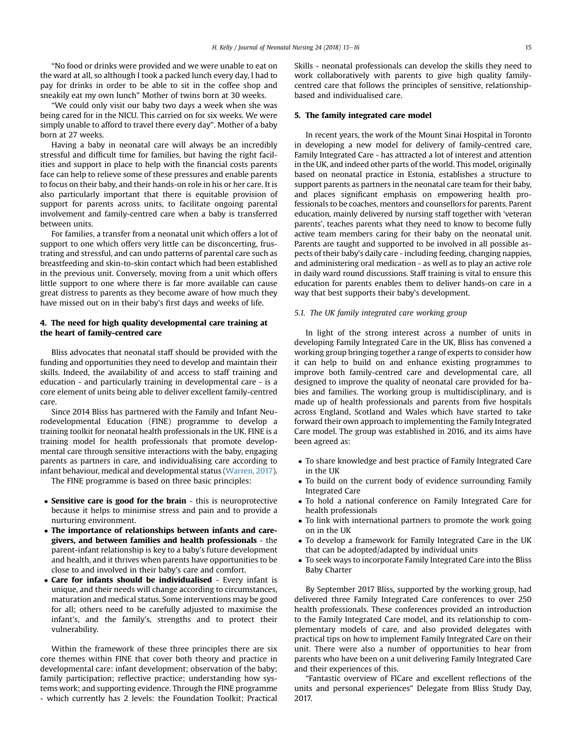"No food or drinks were provided and we were unable to eat on the ward at all, so although I took a packed lunch every day, I had to pay for drinks in order to be able to sit in the coffee shop and sneakily eat my own lunch" Mother of twins born at 30 weeks.

"We could only visit our baby two days a week when she was being cared for in the NICU. This carried on for six weeks. We were simply unable to afford to travel there every day". Mother of a baby born at 27 weeks.

Having a baby in neonatal care will always be an incredibly stressful and difficult time for families, but having the right facilities and support in place to help with the financial costs parents face can help to relieve some of these pressures and enable parents to focus on their baby, and their hands-on role in his or her care. It is also particularly important that there is equitable provision of support for parents across units, to facilitate ongoing parental involvement and family-centred care when a baby is transferred between units.

For families, a transfer from a neonatal unit which offers a lot of support to one which offers very little can be disconcerting, frustrating and stressful, and can undo patterns of parental care such as breastfeeding and skin-to-skin contact which had been established in the previous unit. Conversely, moving from a unit which offers little support to one where there is far more available can cause great distress to parents as they become aware of how much they have missed out on in their baby's first days and weeks of life.

# 4. The need for high quality developmental care training at the heart of family-centred care

Bliss advocates that neonatal staff should be provided with the funding and opportunities they need to develop and maintain their skills. Indeed, the availability of and access to staff training and education - and particularly training in developmental care - is a core element of units being able to deliver excellent family-centred care.

Since 2014 Bliss has partnered with the Family and Infant Neurodevelopmental Education (FINE) programme to develop a training toolkit for neonatal health professionals in the UK. FINE is a training model for health professionals that promote developmental care through sensitive interactions with the baby, engaging parents as partners in care, and individualising care according to infant behaviour, medical and developmental status [\(Warren, 2017\)](#page-3-0).

The FINE programme is based on three basic principles:

- Sensitive care is good for the brain this is neuroprotective because it helps to minimise stress and pain and to provide a nurturing environment.
- The importance of relationships between infants and caregivers, and between families and health professionals - the parent-infant relationship is key to a baby's future development and health, and it thrives when parents have opportunities to be close to and involved in their baby's care and comfort.
- Care for infants should be individualised Every infant is unique, and their needs will change according to circumstances, maturation and medical status. Some interventions may be good for all; others need to be carefully adjusted to maximise the infant's, and the family's, strengths and to protect their vulnerability.

Within the framework of these three principles there are six core themes within FINE that cover both theory and practice in developmental care: infant development; observation of the baby; family participation; reflective practice; understanding how systems work; and supporting evidence. Through the FINE programme - which currently has 2 levels: the Foundation Toolkit; Practical Skills - neonatal professionals can develop the skills they need to work collaboratively with parents to give high quality familycentred care that follows the principles of sensitive, relationshipbased and individualised care.

# 5. The family integrated care model

In recent years, the work of the Mount Sinai Hospital in Toronto in developing a new model for delivery of family-centred care, Family Integrated Care - has attracted a lot of interest and attention in the UK, and indeed other parts of the world. This model, originally based on neonatal practice in Estonia, establishes a structure to support parents as partners in the neonatal care team for their baby, and places significant emphasis on empowering health professionals to be coaches, mentors and counsellors for parents. Parent education, mainly delivered by nursing staff together with 'veteran parents', teaches parents what they need to know to become fully active team members caring for their baby on the neonatal unit. Parents are taught and supported to be involved in all possible aspects of their baby's daily care - including feeding, changing nappies, and administering oral medication - as well as to play an active role in daily ward round discussions. Staff training is vital to ensure this education for parents enables them to deliver hands-on care in a way that best supports their baby's development.

### 5.1. The UK family integrated care working group

In light of the strong interest across a number of units in developing Family Integrated Care in the UK, Bliss has convened a working group bringing together a range of experts to consider how it can help to build on and enhance existing programmes to improve both family-centred care and developmental care, all designed to improve the quality of neonatal care provided for babies and families. The working group is multidisciplinary, and is made up of health professionals and parents from five hospitals across England, Scotland and Wales which have started to take forward their own approach to implementing the Family Integrated Care model. The group was established in 2016, and its aims have been agreed as:

- To share knowledge and best practice of Family Integrated Care in the UK
- To build on the current body of evidence surrounding Family Integrated Care
- To hold a national conference on Family Integrated Care for health professionals
- To link with international partners to promote the work going on in the UK
- To develop a framework for Family Integrated Care in the UK that can be adopted/adapted by individual units
- To seek ways to incorporate Family Integrated Care into the Bliss Baby Charter

By September 2017 Bliss, supported by the working group, had delivered three Family Integrated Care conferences to over 250 health professionals. These conferences provided an introduction to the Family Integrated Care model, and its relationship to complementary models of care, and also provided delegates with practical tips on how to implement Family Integrated Care on their unit. There were also a number of opportunities to hear from parents who have been on a unit delivering Family Integrated Care and their experiences of this.

"Fantastic overview of FICare and excellent reflections of the units and personal experiences" Delegate from Bliss Study Day, 2017.